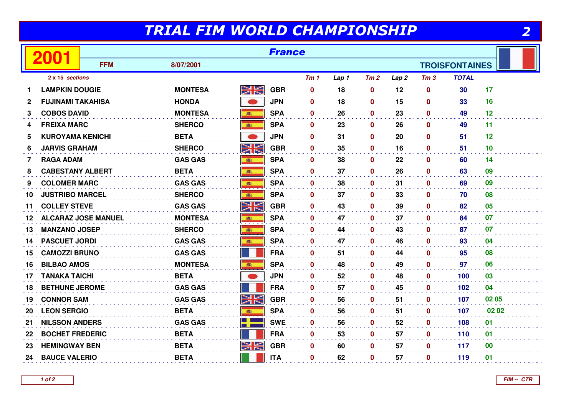## TRIAL FIM WORLD CHAMPIONSHIP

|  | . . |
|--|-----|
|  |     |

| <b>France</b><br>2001 |                            |            |                |               |            |                 |       |              |                  |                 |                       |       |
|-----------------------|----------------------------|------------|----------------|---------------|------------|-----------------|-------|--------------|------------------|-----------------|-----------------------|-------|
|                       |                            | <b>FFM</b> | 8/07/2001      |               |            |                 |       |              |                  |                 | <b>TROISFONTAINES</b> |       |
|                       | 2 x 15 sections            |            |                |               |            | Tm <sub>1</sub> | Lap 1 | Tm2          | Lap <sub>2</sub> | Tm <sub>3</sub> | <b>TOTAL</b>          |       |
|                       | <b>LAMPKIN DOUGIE</b>      |            | <b>MONTESA</b> | VK<br>ZK      | <b>GBR</b> | $\mathbf 0$     | 18    | $\mathbf 0$  | 12               | $\mathbf 0$     | 30                    | 17    |
| 2                     | <b>FUJINAMI TAKAHISA</b>   |            | <b>HONDA</b>   |               | <b>JPN</b> | $\mathbf{0}$    | 18    | $\mathbf 0$  | 15               | $\mathbf 0$     | 33                    | 16    |
| 3                     | <b>COBOS DAVID</b>         |            | <b>MONTESA</b> | ● 調査          | <b>SPA</b> | $\mathbf 0$     | 26    | $\mathbf 0$  | 23               | $\mathbf 0$     | 49                    | 12    |
| 4                     | <b>FREIXA MARC</b>         |            | <b>SHERCO</b>  | <b>BOST</b>   | <b>SPA</b> | $\mathbf 0$     | 23    | $\mathbf 0$  | 26               | $\mathbf 0$     | 49                    | 11    |
| 5.                    | <b>KUROYAMA KENICHI</b>    |            | <b>BETA</b>    |               | <b>JPN</b> | $\mathbf 0$     | 31    | $\mathbf{0}$ | 20               | $\mathbf 0$     | 51                    | 12    |
| 6                     | <b>JARVIS GRAHAM</b>       |            | <b>SHERCO</b>  | XK            | <b>GBR</b> | $\mathbf 0$     | 35    | $\mathbf 0$  | 16               | $\mathbf 0$     | 51                    | 10    |
| 7                     | <b>RAGA ADAM</b>           |            | <b>GAS GAS</b> | 高             | <b>SPA</b> | $\mathbf 0$     | 38    | $\mathbf 0$  | 22               | $\mathbf 0$     | 60                    | 14    |
| 8                     | <b>CABESTANY ALBERT</b>    |            | <b>BETA</b>    | 事             | <b>SPA</b> | $\mathbf{0}$    | 37    | $\mathbf 0$  | 26               | $\mathbf 0$     | 63                    | 09    |
| 9                     | <b>COLOMER MARC</b>        |            | <b>GAS GAS</b> | 高             | <b>SPA</b> | $\bf{0}$        | 38    | $\bf{0}$     | 31               | $\mathbf{0}$    | 69                    | 09    |
| 10                    | <b>JUSTRIBO MARCEL</b>     |            | <b>SHERCO</b>  | 高             | <b>SPA</b> | $\mathbf{0}$    | 37    | $\mathbf 0$  | 33               | $\mathbf 0$     | 70                    | 08    |
| 11                    | <b>COLLEY STEVE</b>        |            | <b>GAS GAS</b> | <u>NK</u>     | <b>GBR</b> | $\mathbf 0$     | 43    | $\mathbf 0$  | 39               | $\mathbf 0$     | 82                    | 05    |
| 12                    | <b>ALCARAZ JOSE MANUEL</b> |            | <b>MONTESA</b> | $\frac{1}{2}$ | <b>SPA</b> | $\mathbf{0}$    | 47    | $\mathbf{0}$ | 37               | $\mathbf 0$     | 84                    | 07    |
| 13                    | <b>MANZANO JOSEP</b>       |            | <b>SHERCO</b>  | 藏             | <b>SPA</b> | $\mathbf 0$     | 44    | $\mathbf 0$  | 43               | $\mathbf 0$     | 87                    | 07    |
| 14                    | <b>PASCUET JORDI</b>       |            | <b>GAS GAS</b> |               | <b>SPA</b> | $\mathbf 0$     | 47    | $\mathbf 0$  | 46               | $\mathbf 0$     | 93                    | 04    |
| 15                    | <b>CAMOZZI BRUNO</b>       |            | <b>GAS GAS</b> |               | <b>FRA</b> | $\mathbf{0}$    | 51    | $\mathbf 0$  | 44               | $\mathbf 0$     | 95                    | 08    |
| 16                    | <b>BILBAO AMOS</b>         |            | <b>MONTESA</b> | 藏             | <b>SPA</b> | $\mathbf 0$     | 48    | $\mathbf 0$  | 49               | $\mathbf 0$     | 97                    | 06    |
| 17                    | <b>TANAKA TAICHI</b>       |            | <b>BETA</b>    |               | <b>JPN</b> | $\mathbf 0$     | 52    | $\mathbf 0$  | 48               | $\mathbf 0$     | 100                   | 03    |
| 18                    | <b>BETHUNE JEROME</b>      |            | <b>GAS GAS</b> |               | <b>FRA</b> | $\mathbf 0$     | 57    | $\mathbf 0$  | 45               | $\mathbf 0$     | 102                   | 04    |
| 19                    | <b>CONNOR SAM</b>          |            | <b>GAS GAS</b> | Ж             | <b>GBR</b> | $\mathbf 0$     | 56    | $\mathbf{0}$ | 51               | $\mathbf 0$     | 107                   | 02 05 |
| 20                    | <b>LEON SERGIO</b>         |            | <b>BETA</b>    |               | <b>SPA</b> | $\mathbf 0$     | 56    | $\mathbf 0$  | 51               | $\mathbf 0$     | 107                   | 02 02 |
| 21                    | <b>NILSSON ANDERS</b>      |            | <b>GAS GAS</b> | 21            | <b>SWE</b> | $\mathbf 0$     | 56    | $\mathbf 0$  | 52               | $\mathbf 0$     | 108                   | 01    |
| 22                    | <b>BOCHET FREDERIC</b>     |            | <b>BETA</b>    |               | <b>FRA</b> | $\mathbf 0$     | 53    | $\mathbf 0$  | 57               | $\mathbf 0$     | 110                   | 01    |
| 23                    | <b>HEMINGWAY BEN</b>       |            | <b>BETA</b>    | NK            | <b>GBR</b> | $\mathbf 0$     | 60    | $\mathbf 0$  | 57               | $\mathbf 0$     | 117                   | 00    |
| 24                    | <b>BAUCE VALERIO</b>       |            | <b>BETA</b>    |               | <b>ITA</b> | $\mathbf 0$     | 62    | $\mathbf 0$  | 57               | $\mathbf 0$     | 119                   | 01    |